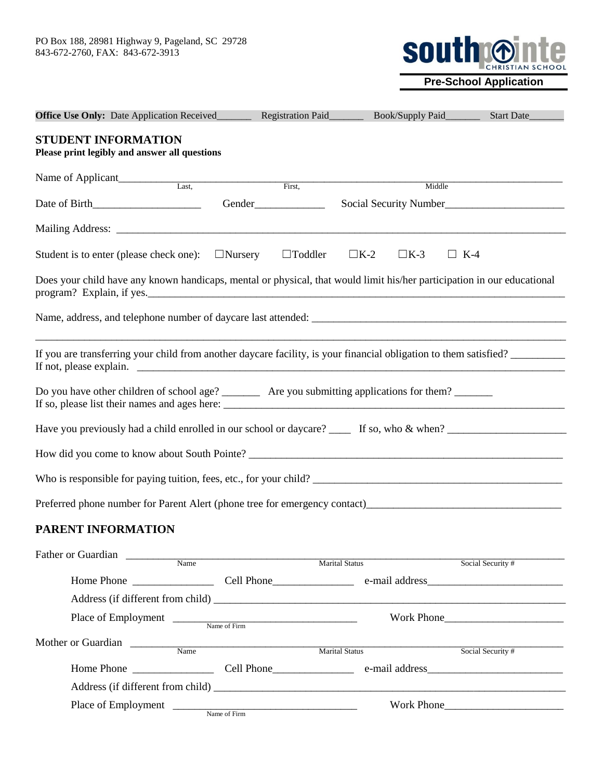

**Pre-School Application**

| <b>Office Use Only:</b> Date Application Received___________ Registration Paid___________ Book/Supply Paid_________     |                |                                                                                                                       |                           | Start Date             |
|-------------------------------------------------------------------------------------------------------------------------|----------------|-----------------------------------------------------------------------------------------------------------------------|---------------------------|------------------------|
| STUDENT INFORMATION<br>Please print legibly and answer all questions                                                    |                |                                                                                                                       |                           |                        |
| Name of Applicant<br>Last,                                                                                              | First,         |                                                                                                                       | Middle                    |                        |
|                                                                                                                         |                |                                                                                                                       |                           | Social Security Number |
|                                                                                                                         |                |                                                                                                                       |                           |                        |
| Student is to enter (please check one): $\Box$ Nursery                                                                  | $\Box$ Toddler | $\Box K$ -2                                                                                                           | $\Box K$ -3<br>$\Box$ K-4 |                        |
| Does your child have any known handicaps, mental or physical, that would limit his/her participation in our educational |                |                                                                                                                       |                           |                        |
|                                                                                                                         |                |                                                                                                                       |                           |                        |
| If you are transferring your child from another daycare facility, is your financial obligation to them satisfied?       |                | <u> 1989 - Johann Stoff, deutscher Stoff, der Stoff, der Stoff, der Stoff, der Stoff, der Stoff, der Stoff, der S</u> |                           |                        |
| Do you have other children of school age? __________ Are you submitting applications for them? _________                |                |                                                                                                                       |                           |                        |
|                                                                                                                         |                |                                                                                                                       |                           |                        |
|                                                                                                                         |                |                                                                                                                       |                           |                        |
|                                                                                                                         |                |                                                                                                                       |                           |                        |
| Preferred phone number for Parent Alert (phone tree for emergency contact)<br>1992                                      |                |                                                                                                                       |                           |                        |
| PARENT INFORMATION                                                                                                      |                |                                                                                                                       |                           |                        |
| Father or Guardian<br>Name                                                                                              |                | Marital Status                                                                                                        |                           | Social Security #      |
|                                                                                                                         |                |                                                                                                                       |                           |                        |
|                                                                                                                         |                |                                                                                                                       |                           |                        |
| Place of Employment Name of Firm                                                                                        |                |                                                                                                                       |                           | Work Phone             |
| Mother or Guardian Name                                                                                                 |                | Marital Status                                                                                                        |                           | Social Security #      |
|                                                                                                                         |                |                                                                                                                       |                           |                        |
|                                                                                                                         |                |                                                                                                                       |                           |                        |
| Place of Employment                                                                                                     |                |                                                                                                                       |                           |                        |

Name of Firm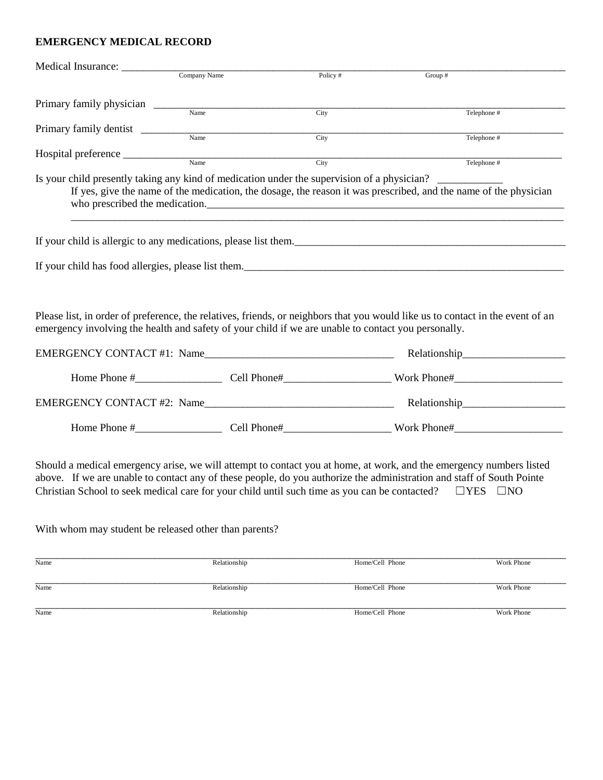# **EMERGENCY MEDICAL RECORD**

| Medical Insurance:              |                                                                                                     |            |                                                                                                                                                                                                                                                                                                                                                                          |
|---------------------------------|-----------------------------------------------------------------------------------------------------|------------|--------------------------------------------------------------------------------------------------------------------------------------------------------------------------------------------------------------------------------------------------------------------------------------------------------------------------------------------------------------------------|
|                                 | Company Name                                                                                        | Policy $#$ | Group #                                                                                                                                                                                                                                                                                                                                                                  |
|                                 | Name                                                                                                |            |                                                                                                                                                                                                                                                                                                                                                                          |
|                                 |                                                                                                     | City       | Telephone #                                                                                                                                                                                                                                                                                                                                                              |
| Primary family dentist          | Name                                                                                                | City       | Telephone #                                                                                                                                                                                                                                                                                                                                                              |
| Hospital preference ___________ |                                                                                                     |            |                                                                                                                                                                                                                                                                                                                                                                          |
|                                 | Name                                                                                                | City       | Telephone $#$                                                                                                                                                                                                                                                                                                                                                            |
|                                 | who prescribed the medication.                                                                      |            | Is your child presently taking any kind of medication under the supervision of a physician?<br>If yes, give the name of the medication, the dosage, the reason it was prescribed, and the name of the physician                                                                                                                                                          |
|                                 |                                                                                                     |            | If your child is allergic to any medications, please list them.                                                                                                                                                                                                                                                                                                          |
|                                 |                                                                                                     |            | If your child has food allergies, please list them.                                                                                                                                                                                                                                                                                                                      |
|                                 | emergency involving the health and safety of your child if we are unable to contact you personally. |            | Please list, in order of preference, the relatives, friends, or neighbors that you would like us to contact in the event of an                                                                                                                                                                                                                                           |
|                                 |                                                                                                     |            |                                                                                                                                                                                                                                                                                                                                                                          |
|                                 |                                                                                                     |            |                                                                                                                                                                                                                                                                                                                                                                          |
|                                 |                                                                                                     |            |                                                                                                                                                                                                                                                                                                                                                                          |
|                                 |                                                                                                     |            |                                                                                                                                                                                                                                                                                                                                                                          |
|                                 |                                                                                                     |            | Should a medical emergency arise, we will attempt to contact you at home, at work, and the emergency numbers listed<br>above. If we are unable to contact any of these people, do you authorize the administration and staff of South Pointe<br>Christian School to seek medical care for your child until such time as you can be contacted? $\square$ YES $\square$ NO |

With whom may student be released other than parents?

| Name | Relationship | Home/Cell Phone | Work Phone |
|------|--------------|-----------------|------------|
| Name | Relationship | Home/Cell Phone | Work Phone |
| Name | Relationship | Home/Cell Phone | Work Phone |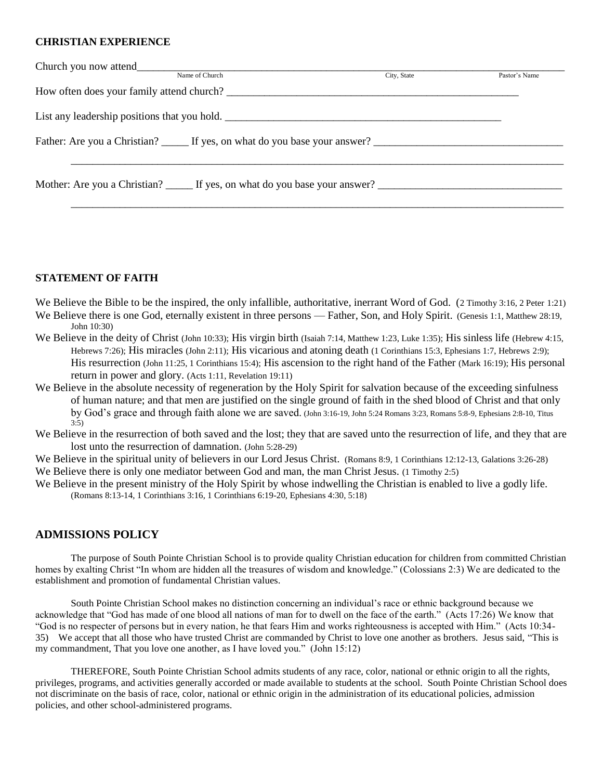#### **CHRISTIAN EXPERIENCE**

| Name of Church                                                                                       | City, State | Pastor's Name |
|------------------------------------------------------------------------------------------------------|-------------|---------------|
|                                                                                                      |             |               |
| List any leadership positions that you hold.                                                         |             |               |
| Father: Are you a Christian? ______ If yes, on what do you base your answer? _______________________ |             |               |
|                                                                                                      |             |               |
| Mother: Are you a Christian? If yes, on what do you base your answer?                                |             |               |

\_\_\_\_\_\_\_\_\_\_\_\_\_\_\_\_\_\_\_\_\_\_\_\_\_\_\_\_\_\_\_\_\_\_\_\_\_\_\_\_\_\_\_\_\_\_\_\_\_\_\_\_\_\_\_\_\_\_\_\_\_\_\_\_\_\_\_\_\_\_\_\_\_\_\_\_\_\_\_\_\_\_\_\_\_\_\_\_\_\_\_

#### **STATEMENT OF FAITH**

We Believe the Bible to be the inspired, the only infallible, authoritative, inerrant Word of God. (2 Timothy 3:16, 2 Peter 1:21) We Believe there is one God, eternally existent in three persons — Father, Son, and Holy Spirit. (Genesis 1:1, Matthew 28:19, John 10:30)

- We Believe in the deity of Christ (John 10:33); His virgin birth (Isaiah 7:14, Matthew 1:23, Luke 1:35); His sinless life (Hebrew 4:15, Hebrews 7:26); His miracles (John 2:11); His vicarious and atoning death (1 Corinthians 15:3, Ephesians 1:7, Hebrews 2:9); His resurrection (John 11:25, 1 Corinthians 15:4); His ascension to the right hand of the Father (Mark 16:19); His personal return in power and glory. (Acts 1:11, Revelation 19:11)
- We Believe in the absolute necessity of regeneration by the Holy Spirit for salvation because of the exceeding sinfulness of human nature; and that men are justified on the single ground of faith in the shed blood of Christ and that only by God's grace and through faith alone we are saved. (John 3:16-19, John 5:24 Romans 3:23, Romans 5:8-9, Ephesians 2:8-10, Titus 3:5)
- We Believe in the resurrection of both saved and the lost; they that are saved unto the resurrection of life, and they that are lost unto the resurrection of damnation. (John 5:28-29)

We Believe in the spiritual unity of believers in our Lord Jesus Christ. (Romans 8:9, 1 Corinthians 12:12-13, Galations 3:26-28) We Believe there is only one mediator between God and man, the man Christ Jesus. (1 Timothy 2:5)

We Believe in the present ministry of the Holy Spirit by whose indwelling the Christian is enabled to live a godly life. (Romans 8:13-14, 1 Corinthians 3:16, 1 Corinthians 6:19-20, Ephesians 4:30, 5:18)

### **ADMISSIONS POLICY**

The purpose of South Pointe Christian School is to provide quality Christian education for children from committed Christian homes by exalting Christ "In whom are hidden all the treasures of wisdom and knowledge." (Colossians 2:3) We are dedicated to the establishment and promotion of fundamental Christian values.

South Pointe Christian School makes no distinction concerning an individual's race or ethnic background because we acknowledge that "God has made of one blood all nations of man for to dwell on the face of the earth." (Acts 17:26) We know that "God is no respecter of persons but in every nation, he that fears Him and works righteousness is accepted with Him." (Acts 10:34- 35) We accept that all those who have trusted Christ are commanded by Christ to love one another as brothers. Jesus said, "This is my commandment, That you love one another, as I have loved you." (John 15:12)

THEREFORE, South Pointe Christian School admits students of any race, color, national or ethnic origin to all the rights, privileges, programs, and activities generally accorded or made available to students at the school. South Pointe Christian School does not discriminate on the basis of race, color, national or ethnic origin in the administration of its educational policies, admission policies, and other school-administered programs.